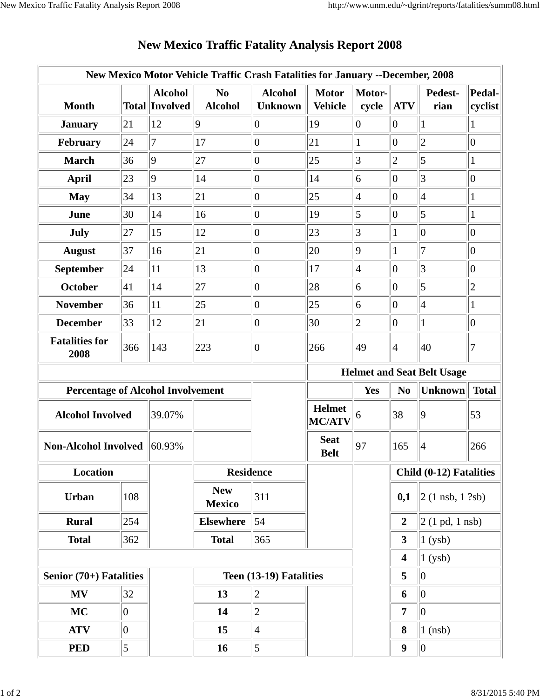| New Mexico Motor Vehicle Traffic Crash Fatalities for January --December, 2008 |                |                                         |                                  |                                  |                                   |                 |                  |                                     |                   |
|--------------------------------------------------------------------------------|----------------|-----------------------------------------|----------------------------------|----------------------------------|-----------------------------------|-----------------|------------------|-------------------------------------|-------------------|
| <b>Month</b>                                                                   |                | <b>Alcohol</b><br><b>Total Involved</b> | N <sub>0</sub><br><b>Alcohol</b> | <b>Alcohol</b><br><b>Unknown</b> | <b>Motor</b><br><b>Vehicle</b>    | Motor-<br>cycle | <b>ATV</b>       | Pedest-<br>rian                     | Pedal-<br>cyclist |
| <b>January</b>                                                                 | 21             | 12                                      | $ 9\rangle$                      | $\overline{0}$                   | 19                                | $ 0\rangle$     | 0                | $\mathbf{1}$                        | $\mathbf{1}$      |
| February                                                                       | 24             | $\overline{7}$                          | 17                               | $\overline{0}$                   | 21                                | $\mathbf{1}$    | 0                | $ 2\rangle$                         | $\boldsymbol{0}$  |
| <b>March</b>                                                                   | 36             | $ 9\rangle$                             | 27                               | $\overline{0}$                   | 25                                | 3               | $\overline{2}$   | 5                                   | $\mathbf{1}$      |
| <b>April</b>                                                                   | 23             | $ 9\rangle$                             | 14                               | $\overline{0}$                   | 14                                | 6               | 10               | 3                                   | $\boldsymbol{0}$  |
| <b>May</b>                                                                     | 34             | 13                                      | 21                               | $\boldsymbol{0}$                 | 25                                | $\overline{4}$  | 10               | $\vert 4$                           | $\mathbf{1}$      |
| June                                                                           | 30             | 14                                      | 16                               | $\overline{0}$                   | 19                                | 5               | $ 0\rangle$      | $\vert 5 \vert$                     | $\mathbf{1}$      |
| July                                                                           | 27             | 15                                      | 12                               | $\boldsymbol{0}$                 | 23                                | 3               | $\mathbf{1}$     | $\vert 0 \vert$                     | $\boldsymbol{0}$  |
| <b>August</b>                                                                  | 37             | 16                                      | 21                               | $\boldsymbol{0}$                 | 20                                | $\overline{9}$  |                  | 7                                   | $\boldsymbol{0}$  |
| September                                                                      | 24             | 11                                      | 13                               | $\overline{0}$                   | 17                                | $\overline{4}$  | 10               | 3                                   | $\boldsymbol{0}$  |
| October                                                                        | 41             | 14                                      | 27                               | $\overline{0}$                   | 28                                | 6               | 10               | $\overline{5}$                      | $\overline{2}$    |
| <b>November</b>                                                                | 36             | 11                                      | 25                               | $\overline{0}$                   | 25                                | 6               | 0                | $\vert 4$                           | $\mathbf{1}$      |
| <b>December</b>                                                                | 33             | 12                                      | 21                               | $\overline{0}$                   | 30                                | $\overline{2}$  | 0                | 1                                   | $\overline{0}$    |
| <b>Fatalities for</b><br>2008                                                  | 366            | 143                                     | 223                              | $\overline{0}$                   | 266                               | 49              | 4                | 40                                  | 7                 |
|                                                                                |                |                                         |                                  |                                  | <b>Helmet and Seat Belt Usage</b> |                 |                  |                                     |                   |
| <b>Percentage of Alcohol Involvement</b>                                       |                |                                         |                                  |                                  |                                   |                 |                  |                                     |                   |
|                                                                                |                |                                         |                                  |                                  |                                   | Yes             | N <sub>o</sub>   | <b>Unknown</b>                      | <b>Total</b>      |
| <b>Alcohol Involved</b>                                                        |                | 39.07%                                  |                                  |                                  | <b>Helmet</b><br><b>MC/ATV</b>    | 6               | 38               | $ 9\rangle$                         | 53                |
| <b>Non-Alcohol Involved 60.93%</b>                                             |                |                                         |                                  |                                  | <b>Seat</b><br><b>Belt</b>        | 97              | 165              | $\vert 4$                           | 266               |
| Location                                                                       |                |                                         | <b>Residence</b>                 |                                  |                                   |                 |                  | Child (0-12) Fatalities             |                   |
| <b>Urban</b>                                                                   | 108            |                                         | <b>New</b><br><b>Mexico</b>      | 311                              |                                   |                 | 0,1              | $ 2(1 \text{ nsb}, 1 \text{ ?sb}) $ |                   |
| <b>Rural</b>                                                                   | 254            |                                         | <b>Elsewhere</b>                 | 54                               |                                   |                 | $\boldsymbol{2}$ | $ 2(1 \text{ pd}, 1 \text{ nsb}) $  |                   |
| <b>Total</b>                                                                   | 362            |                                         | <b>Total</b>                     | 365                              |                                   |                 | $\mathbf{3}$     | 1(ysb)                              |                   |
|                                                                                |                |                                         |                                  |                                  |                                   |                 | 4                | 1(ysb)                              |                   |
| Senior (70+) Fatalities                                                        |                |                                         |                                  | Teen (13-19) Fatalities          |                                   |                 | 5                | $ 0\rangle$                         |                   |
| <b>MV</b>                                                                      | 32             |                                         | 13                               | $\overline{c}$                   |                                   |                 | 6                | $ 0\rangle$                         |                   |
| <b>MC</b>                                                                      | $\overline{0}$ |                                         | 14                               | $\overline{c}$                   |                                   |                 | 7                | 0                                   |                   |
| <b>ATV</b>                                                                     | $\overline{0}$ |                                         | 15                               | $\overline{4}$                   |                                   |                 | 8                | $1$ (nsb)                           |                   |

## **New Mexico Traffic Fatality Analysis Report 2008**